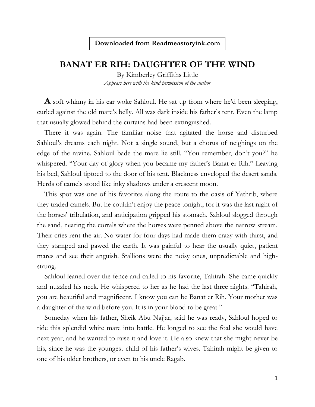## **Downloaded from Readmeastoryink.com**

## **BANAT ER RIH: DAUGHTER OF THE WIND**

By Kimberley Griffiths Little *Appears here with the kind permission of the author*

**A** soft whinny in his ear woke Sahloul. He sat up from where he'd been sleeping, curled against the old mare's belly. All was dark inside his father's tent. Even the lamp that usually glowed behind the curtains had been extinguished.

There it was again. The familiar noise that agitated the horse and disturbed Sahloul's dreams each night. Not a single sound, but a chorus of neighings on the edge of the ravine. Sahloul bade the mare lie still. "You remember, don't you?" he whispered. "Your day of glory when you became my father's Banat er Rih." Leaving his bed, Sahloul tiptoed to the door of his tent. Blackness enveloped the desert sands. Herds of camels stood like inky shadows under a crescent moon.

This spot was one of his favorites along the route to the oasis of Yathrib, where they traded camels. But he couldn't enjoy the peace tonight, for it was the last night of the horses' tribulation, and anticipation gripped his stomach. Sahloul slogged through the sand, nearing the corrals where the horses were penned above the narrow stream. Their cries rent the air. No water for four days had made them crazy with thirst, and they stamped and pawed the earth. It was painful to hear the usually quiet, patient mares and see their anguish. Stallions were the noisy ones, unpredictable and highstrung.

Sahloul leaned over the fence and called to his favorite, Tahirah. She came quickly and nuzzled his neck. He whispered to her as he had the last three nights. "Tahirah, you are beautiful and magnificent. I know you can be Banat er Rih. Your mother was a daughter of the wind before you. It is in your blood to be great."

Someday when his father, Sheik Abu Najjar, said he was ready, Sahloul hoped to ride this splendid white mare into battle. He longed to see the foal she would have next year, and he wanted to raise it and love it. He also knew that she might never be his, since he was the youngest child of his father's wives. Tahirah might be given to one of his older brothers, or even to his uncle Ragab.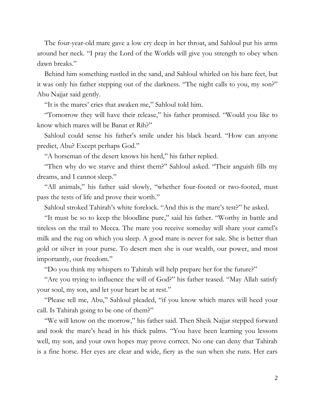The four-year-old mare gave a low cry deep in her throat, and Sahloul put his arms around her neck. "I pray the Lord of the Worlds will give you strength to obey when dawn breaks."

Behind him something rustled in the sand, and Sahloul whirled on his bare feet, but it was only his father stepping out of the darkness. "The night calls to you, my son?" Abu Najjar said gently.

"It is the mares' cries that awaken me," Sahloul told him.

"Tomorrow they will have their release," his father promised. "Would you like to know which mares will be Banat er Rih?"

Sahloul could sense his father's smile under his black beard. "How can anyone predict, Abu? Except perhaps God."

"A horseman of the desert knows his herd," his father replied.

"Then why do we starve and thirst them?" Sahloul asked. "Their anguish fills my dreams, and I cannot sleep."

"All animals," his father said slowly, "whether four-footed or two-footed, must pass the tests of life and prove their worth."

Sahloul stroked Tahirah's white forelock. "And this is the mare's test?" he asked.

"It must be so to keep the bloodline pure," said his father. "Worthy in battle and tireless on the trail to Mecca. The mare you receive someday will share your camel's milk and the rug on which you sleep. A good mare is never for sale. She is better than gold or silver in your purse. To desert men she is our wealth, our power, and most importantly, our freedom."

"Do you think my whispers to Tahirah will help prepare her for the future?"

"Are you trying to influence the will of God?" his father teased. "May Allah satisfy your soul, my son, and let your heart be at rest."

"Please tell me, Abu," Sahloul pleaded, "if you know which mares will heed your call. Is Tahirah going to be one of them?"

"We will know on the morrow," his father said. Then Sheik Najjar stepped forward and took the mare's head in his thick palms. "You have been learning you lessons well, my son, and your own hopes may prove correct. No one can deny that Tahirah is a fine horse. Her eyes are clear and wide, fiery as the sun when she runs. Her ears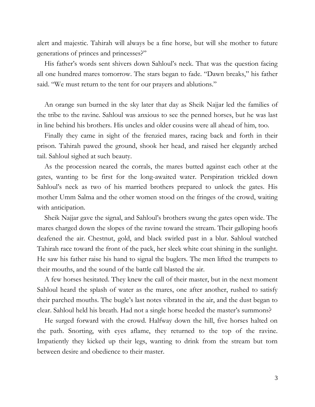alert and majestic. Tahirah will always be a fine horse, but will she mother to future generations of princes and princesses?"

His father's words sent shivers down Sahloul's neck. That was the question facing all one hundred mares tomorrow. The stars began to fade. "Dawn breaks," his father said. "We must return to the tent for our prayers and ablutions."

An orange sun burned in the sky later that day as Sheik Najjar led the families of the tribe to the ravine. Sahloul was anxious to see the penned horses, but he was last in line behind his brothers. His uncles and older cousins were all ahead of him, too.

Finally they came in sight of the frenzied mares, racing back and forth in their prison. Tahirah pawed the ground, shook her head, and raised her elegantly arched tail. Sahloul sighed at such beauty.

As the procession neared the corrals, the mares butted against each other at the gates, wanting to be first for the long-awaited water. Perspiration trickled down Sahloul's neck as two of his married brothers prepared to unlock the gates. His mother Umm Salma and the other women stood on the fringes of the crowd, waiting with anticipation.

Sheik Najjar gave the signal, and Sahloul's brothers swung the gates open wide. The mares charged down the slopes of the ravine toward the stream. Their galloping hoofs deafened the air. Chestnut, gold, and black swirled past in a blur. Sahloul watched Tahirah race toward the front of the pack, her sleek white coat shining in the sunlight. He saw his father raise his hand to signal the buglers. The men lifted the trumpets to their mouths, and the sound of the battle call blasted the air.

A few horses hesitated. They knew the call of their master, but in the next moment Sahloul heard the splash of water as the mares, one after another, rushed to satisfy their parched mouths. The bugle's last notes vibrated in the air, and the dust began to clear. Sahloul held his breath. Had not a single horse heeded the master's summons?

He surged forward with the crowd. Halfway down the hill, five horses halted on the path. Snorting, with eyes aflame, they returned to the top of the ravine. Impatiently they kicked up their legs, wanting to drink from the stream but torn between desire and obedience to their master.